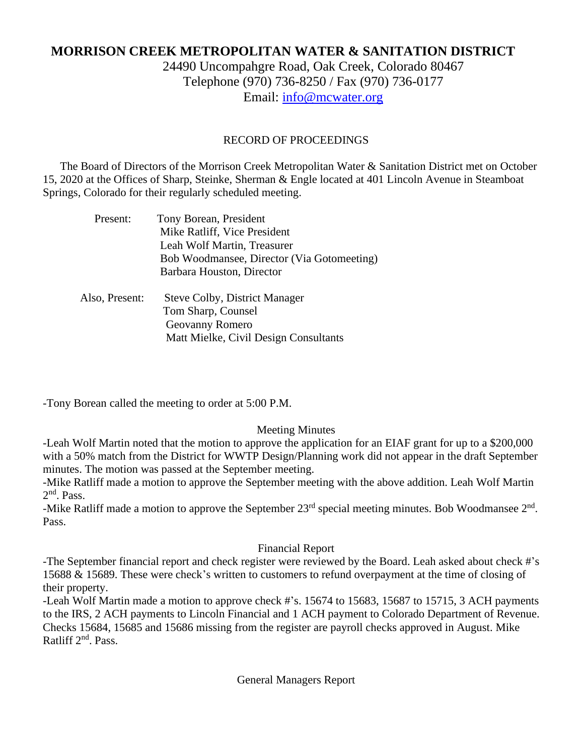# **MORRISON CREEK METROPOLITAN WATER & SANITATION DISTRICT**

24490 Uncompahgre Road, Oak Creek, Colorado 80467 Telephone (970) 736-8250 / Fax (970) 736-0177 Email: [info@mcwater.org](mailto:info@mcwater.org)

### RECORD OF PROCEEDINGS

 The Board of Directors of the Morrison Creek Metropolitan Water & Sanitation District met on October 15, 2020 at the Offices of Sharp, Steinke, Sherman & Engle located at 401 Lincoln Avenue in Steamboat Springs, Colorado for their regularly scheduled meeting.

| Present:       | Tony Borean, President<br>Mike Ratliff, Vice President<br>Leah Wolf Martin, Treasurer<br>Bob Woodmansee, Director (Via Gotomeeting)<br>Barbara Houston, Director |
|----------------|------------------------------------------------------------------------------------------------------------------------------------------------------------------|
| Also, Present: | <b>Steve Colby, District Manager</b><br>Tom Sharp, Counsel<br>Geovanny Romero<br>Matt Mielke, Civil Design Consultants                                           |

-Tony Borean called the meeting to order at 5:00 P.M.

#### Meeting Minutes

-Leah Wolf Martin noted that the motion to approve the application for an EIAF grant for up to a \$200,000 with a 50% match from the District for WWTP Design/Planning work did not appear in the draft September minutes. The motion was passed at the September meeting.

-Mike Ratliff made a motion to approve the September meeting with the above addition. Leah Wolf Martin 2<sup>nd</sup>. Pass.

-Mike Ratliff made a motion to approve the September  $23<sup>rd</sup>$  special meeting minutes. Bob Woodmansee  $2<sup>nd</sup>$ . Pass.

#### Financial Report

-The September financial report and check register were reviewed by the Board. Leah asked about check #'s 15688 & 15689. These were check's written to customers to refund overpayment at the time of closing of their property.

-Leah Wolf Martin made a motion to approve check #'s. 15674 to 15683, 15687 to 15715, 3 ACH payments to the IRS, 2 ACH payments to Lincoln Financial and 1 ACH payment to Colorado Department of Revenue. Checks 15684, 15685 and 15686 missing from the register are payroll checks approved in August. Mike Ratliff 2<sup>nd</sup>. Pass.

General Managers Report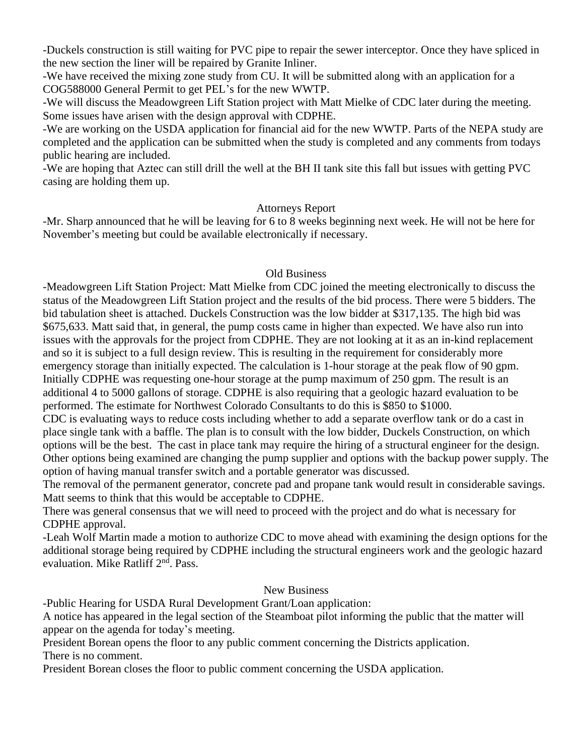-Duckels construction is still waiting for PVC pipe to repair the sewer interceptor. Once they have spliced in the new section the liner will be repaired by Granite Inliner.

-We have received the mixing zone study from CU. It will be submitted along with an application for a COG588000 General Permit to get PEL's for the new WWTP.

-We will discuss the Meadowgreen Lift Station project with Matt Mielke of CDC later during the meeting. Some issues have arisen with the design approval with CDPHE.

-We are working on the USDA application for financial aid for the new WWTP. Parts of the NEPA study are completed and the application can be submitted when the study is completed and any comments from todays public hearing are included.

-We are hoping that Aztec can still drill the well at the BH II tank site this fall but issues with getting PVC casing are holding them up.

## Attorneys Report

-Mr. Sharp announced that he will be leaving for 6 to 8 weeks beginning next week. He will not be here for November's meeting but could be available electronically if necessary.

## Old Business

-Meadowgreen Lift Station Project: Matt Mielke from CDC joined the meeting electronically to discuss the status of the Meadowgreen Lift Station project and the results of the bid process. There were 5 bidders. The bid tabulation sheet is attached. Duckels Construction was the low bidder at \$317,135. The high bid was \$675,633. Matt said that, in general, the pump costs came in higher than expected. We have also run into issues with the approvals for the project from CDPHE. They are not looking at it as an in-kind replacement and so it is subject to a full design review. This is resulting in the requirement for considerably more emergency storage than initially expected. The calculation is 1-hour storage at the peak flow of 90 gpm. Initially CDPHE was requesting one-hour storage at the pump maximum of 250 gpm. The result is an additional 4 to 5000 gallons of storage. CDPHE is also requiring that a geologic hazard evaluation to be performed. The estimate for Northwest Colorado Consultants to do this is \$850 to \$1000.

CDC is evaluating ways to reduce costs including whether to add a separate overflow tank or do a cast in place single tank with a baffle. The plan is to consult with the low bidder, Duckels Construction, on which options will be the best. The cast in place tank may require the hiring of a structural engineer for the design. Other options being examined are changing the pump supplier and options with the backup power supply. The option of having manual transfer switch and a portable generator was discussed.

The removal of the permanent generator, concrete pad and propane tank would result in considerable savings. Matt seems to think that this would be acceptable to CDPHE.

There was general consensus that we will need to proceed with the project and do what is necessary for CDPHE approval.

-Leah Wolf Martin made a motion to authorize CDC to move ahead with examining the design options for the additional storage being required by CDPHE including the structural engineers work and the geologic hazard evaluation. Mike Ratliff 2<sup>nd</sup>. Pass.

#### New Business

-Public Hearing for USDA Rural Development Grant/Loan application:

A notice has appeared in the legal section of the Steamboat pilot informing the public that the matter will appear on the agenda for today's meeting.

President Borean opens the floor to any public comment concerning the Districts application. There is no comment.

President Borean closes the floor to public comment concerning the USDA application.